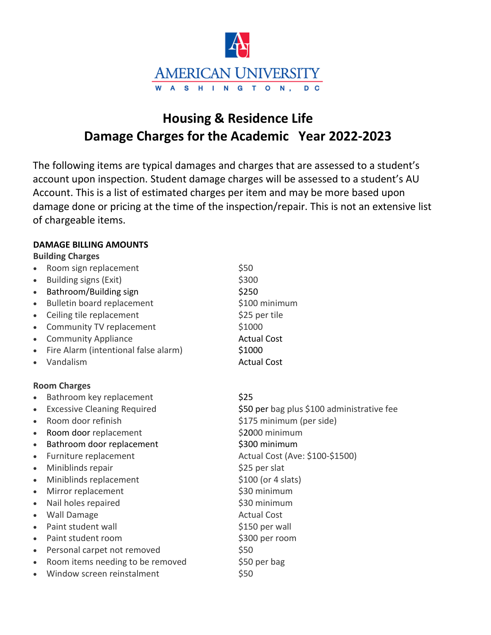

# **Housing & Residence Life Damage Charges for the Academic Year 2022-2023**

The following items are typical damages and charges that are assessed to a student's account upon inspection. Student damage charges will be assessed to a student's AU Account. This is a list of estimated charges per item and may be more based upon damage done or pricing at the time of the inspection/repair. This is not an extensive list of chargeable items.

#### **DAMAGE BILLING AMOUNTS**

**Building Charges**

- Room sign replacement
- Building signs (Exit)
- Bathroom/Building sign
- Bulletin board replacement
- Ceiling tile replacement
- Community TV replacement
- Community Appliance
- Fire Alarm (intentional false alarm)
- Vandalism

## **Room Charges**

- Bathroom key replacement
- Excessive Cleaning Required
- Room door refinish
- Room door replacement
- Bathroom door replacement
- Furniture replacement
- Miniblinds repair
- Miniblinds replacement
- Mirror replacement
- Nail holes repaired
- Wall Damage
- Paint student wall
- Paint student room
- Personal carpet not removed
- Room items needing to be removed
- Window screen reinstalment

\$50 \$300 \$250 \$100 minimum \$25 per tile \$1000 Actual Cost \$1000 Actual Cost

## \$25

\$50 per bag plus \$100 administrative fee \$175 minimum (per side) \$2000 minimum \$300 minimum Actual Cost (Ave: \$100-\$1500) \$25 per slat \$100 (or 4 slats) \$30 minimum \$30 minimum Actual Cost \$150 per wall \$300 per room \$50 \$50 per bag \$50